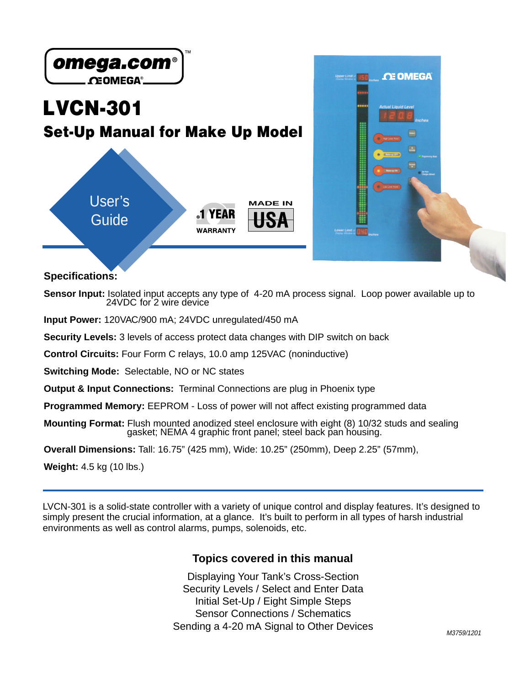

**Specifications:**

**Sensor Input:** Isolated input accepts any type of 4-20 mA process signal. Loop power available up to 24VDC for 2 wire device

**Input Power:** 120VAC/900 mA; 24VDC unregulated/450 mA

**Security Levels:** 3 levels of access protect data changes with DIP switch on back

**Control Circuits:** Four Form C relays, 10.0 amp 125VAC (noninductive)

**Switching Mode:** Selectable, NO or NC states

**Output & Input Connections:** Terminal Connections are plug in Phoenix type

**Programmed Memory:** EEPROM - Loss of power will not affect existing programmed data

**Mounting Format:** Flush mounted anodized steel enclosure with eight (8) 10/32 studs and sealing gasket; NEMA 4 graphic front panel; steel back pan housing.

**Overall Dimensions:** Tall: 16.75" (425 mm), Wide: 10.25" (250mm), Deep 2.25" (57mm),

**Weight:** 4.5 kg (10 lbs.)

LVCN-301 is a solid-state controller with a variety of unique control and display features. It's designed to simply present the crucial information, at a glance. It's built to perform in all types of harsh industrial environments as well as control alarms, pumps, solenoids, etc.

#### **Topics covered in this manual**

Displaying Your Tank's Cross-Section Security Levels / Select and Enter Data Initial Set-Up / Eight Simple Steps Sensor Connections / Schematics Sending a 4-20 mA Signal to Other Devices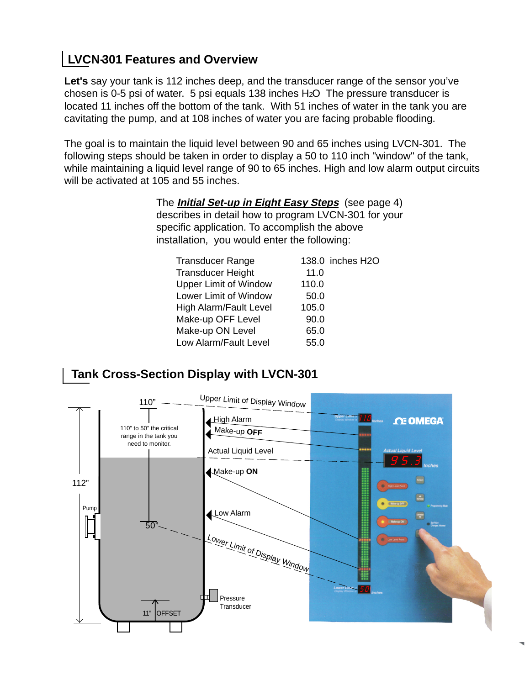## **LVCN-301 Features and Overview**

Let's say your tank is 112 inches deep, and the transducer range of the sensor you've chosen is 0-5 psi of water. 5 psi equals 138 inches H2O The pressure transducer is located 11 inches off the bottom of the tank. With 51 inches of water in the tank you are cavitating the pump, and at 108 inches of water you are facing probable flooding.

The goal is to maintain the liquid level between 90 and 65 inches using LVCN-301. The following steps should be taken in order to display a 50 to 110 inch "window" of the tank, while maintaining a liquid level range of 90 to 65 inches. High and low alarm output circuits will be activated at 105 and 55 inches.

> The **Initial Set-up in Eight Easy Steps** (see page 4) describes in detail how to program LVCN-301 for your specific application. To accomplish the above installation, you would enter the following:

| <b>Transducer Range</b>       |       | 138.0 inches H2O |
|-------------------------------|-------|------------------|
| <b>Transducer Height</b>      | 11.0  |                  |
| <b>Upper Limit of Window</b>  | 110.0 |                  |
| Lower Limit of Window         | 50.0  |                  |
| <b>High Alarm/Fault Level</b> | 105.0 |                  |
| Make-up OFF Level             | 90.0  |                  |
| Make-up ON Level              | 65.0  |                  |
| Low Alarm/Fault Level         | 55.0  |                  |

## **Tank Cross-Section Display with LVCN-301**

![](_page_1_Figure_6.jpeg)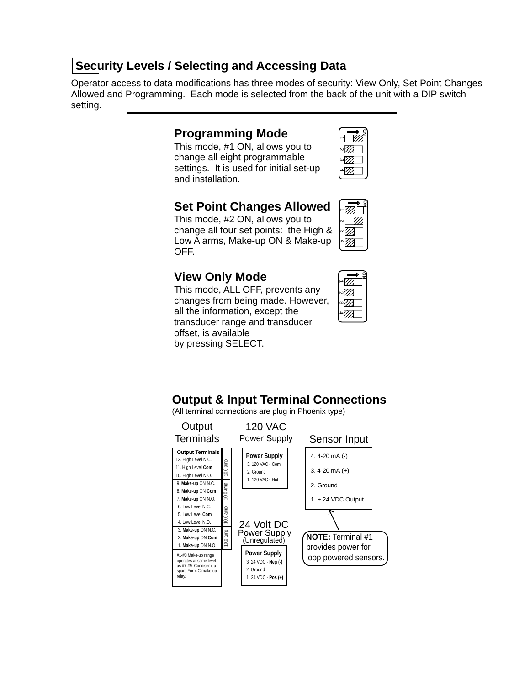## **Security Levels / Selecting and Accessing Data**

Operator access to data modifications has three modes of security: View Only, Set Point Changes Allowed and Programming. Each mode is selected from the back of the unit with a DIP switch setting.

### **Programming Mode**

This mode, #1 ON, allows you to change all eight programmable settings. It is used for initial set-up and installation.

|   | ″/  |  |
|---|-----|--|
| ω | 97) |  |
|   | 77  |  |

**ON**

1234 The Company of the United States and Company of the United States and Company of the United States and  $\frac{1}{2}$ . . . . . . . .

## **Set Point Changes Allowed**

This mode, #2 ON, allows you to change all four set points: the High & Low Alarms, Make-up ON & Make-up OFF.

## **View Only Mode**

This mode, ALL OFF, prevents any changes from being made. However, all the information, except the transducer range and transducer offset, is available by pressing SELECT.

| ''' |  |
|-----|--|
| 77) |  |
| Π   |  |
|     |  |

### **Output & Input Terminal Connections**

(All terminal connections are plug in Phoenix type)

![](_page_2_Figure_12.jpeg)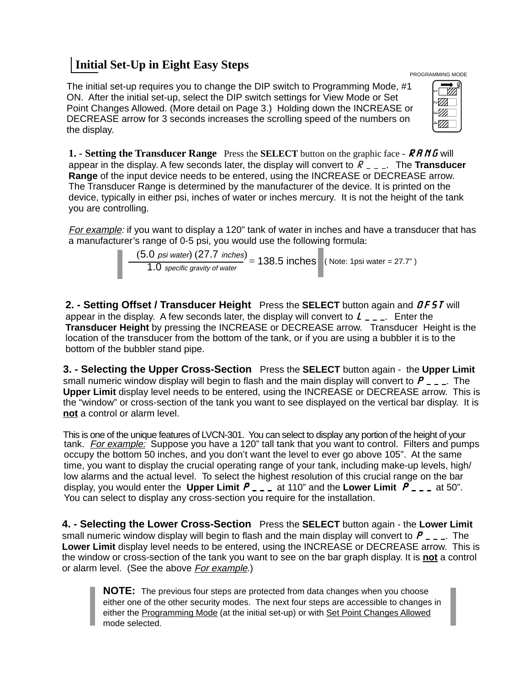## **Initial Set-Up in Eight Easy Steps**

The initial set-up requires you to change the DIP switch to Programming Mode, #1 ON. After the initial set-up, select the DIP switch settings for View Mode or Set Point Changes Allowed. (More detail on Page 3.) Holding down the INCREASE or DECREASE arrow for 3 seconds increases the scrolling speed of the numbers on the display.

| $^{\prime\prime}$ |
|-------------------|
| 97)               |
|                   |

PROGRAMMING MODE

**1. - Setting the Transducer Range** Press the **SELECT** button on the graphic face - *RANG* will appear in the display. A few seconds later, the display will convert to *R\_\_\_*. The **Transducer Range** of the input device needs to be entered, using the INCREASE or DECREASE arrow. The Transducer Range is determined by the manufacturer of the device. It is printed on the device, typically in either psi, inches of water or inches mercury. It is not the height of the tank you are controlling.

For example: if you want to display a 120" tank of water in inches and have a transducer that has a manufacturer's range of 0-5 psi, you would use the following formula:

$$
\frac{(5.0 \text{ psi water}) (27.7 \text{ inches})}{1.0 \text{ specific gravity of water}} = 138.5 \text{ inches}
$$
 (Note: 1psi water = 27.7")

**2. - Setting Offset / Transducer Height** Press the **SELECT** button again and *OFST* will appear in the display. A few seconds later, the display will convert to *L\_\_\_*. Enter the **Transducer Height** by pressing the INCREASE or DECREASE arrow. Transducer Height is the location of the transducer from the bottom of the tank, or if you are using a bubbler it is to the bottom of the bubbler stand pipe.

**3. - Selecting the Upper Cross-Section** Press the **SELECT** button again - the **Upper Limit** small numeric window display will begin to flash and the main display will convert to *P\_\_\_*. The **Upper Limit** display level needs to be entered, using the INCREASE or DECREASE arrow. This is the "window" or cross-section of the tank you want to see displayed on the vertical bar display. It is **not** a control or alarm level.

This is one of the unique features of LVCN-301. You can select to display any portion of the height of your tank. *For example:* Suppose you have a 120" tall tank that you want to control. Filters and pumps occupy the bottom 50 inches, and you don't want the level to ever go above 105". At the same time, you want to display the crucial operating range of your tank, including make-up levels, high/ low alarms and the actual level. To select the highest resolution of this crucial range on the bar display, you would enter the **Upper Limit** *P\_\_\_* at 110" and the **Lower Limit** *P\_\_\_*at 50". You can select to display any cross-section you require for the installation.

**4. - Selecting the Lower Cross-Section** Press the **SELECT** button again - the **Lower Limit** small numeric window display will begin to flash and the main display will convert to *P\_\_\_*. The **Lower Limit** display level needs to be entered, using the INCREASE or DECREASE arrow. This is the window or cross-section of the tank you want to see on the bar graph display. It is **not** a control or alarm level. (See the above For example.)

**NOTE:** The previous four steps are protected from data changes when you choose either one of the other security modes. The next four steps are accessible to changes in either the Programming Mode (at the initial set-up) or with Set Point Changes Allowed mode selected.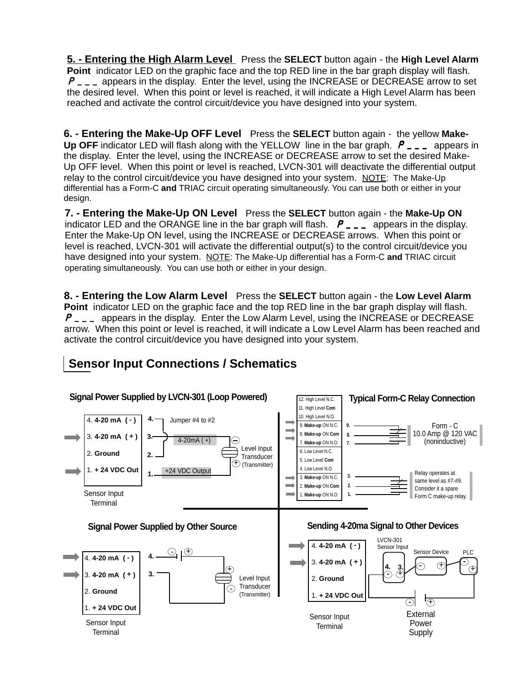**5. - Entering the High Alarm Level** Press the **SELECT** button again - the **High Level Alarm Point** indicator LED on the graphic face and the top RED line in the bar graph display will flash. *P\_\_\_* appears in the display. Enter the level, using the INCREASE or DECREASE arrow to set the desired level. When this point or level is reached, it will indicate a High Level Alarm has been reached and activate the control circuit/device you have designed into your system.

**6. - Entering the Make-Up OFF Level** Press the **SELECT** button again - the yellow **Make-Up OFF** indicator LED will flash along with the YELLOW line in the bar graph. *P\_\_\_* appears in the display. Enter the level, using the INCREASE or DECREASE arrow to set the desired Make-Up OFF level. When this point or level is reached, LVCN-301 will deactivate the differential output relay to the control circuit/device you have designed into your system. NOTE: The Make-Up differential has a Form-C **and** TRIAC circuit operating simultaneously. You can use both or either in your design.

**7. - Entering the Make-Up ON Level** Press the **SELECT** button again - the **Make-Up ON** indicator LED and the ORANGE line in the bar graph will flash. *P\_\_\_* appears in the display. Enter the Make-Up ON level, using the INCREASE or DECREASE arrows. When this point or level is reached, LVCN-301 will activate the differential output(s) to the control circuit/device you have designed into your system. NOTE: The Make-Up differential has a Form-C **and** TRIAC circuit operating simultaneously. You can use both or either in your design.

**8. - Entering the Low Alarm Level** Press the **SELECT** button again - the **Low Level Alarm Point** indicator LED on the graphic face and the top RED line in the bar graph display will flash. *P\_\_\_* appears in the display. Enter the Low Alarm Level, using the INCREASE or DECREASE arrow. When this point or level is reached, it will indicate a Low Level Alarm has been reached and activate the control circuit/device you have designed into your system.

![](_page_4_Figure_4.jpeg)

# **Sensor Input Connections / Schematics**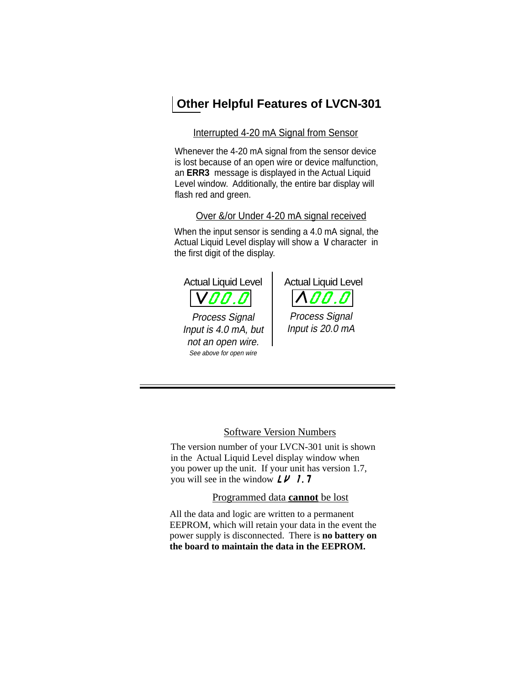## **Other Helpful Features of LVCN-301**

#### Interrupted 4-20 mA Signal from Sensor

Whenever the 4-20 mA signal from the sensor device is lost because of an open wire or device malfunction, an **ERR3** message is displayed in the Actual Liquid Level window. Additionally, the entire bar display will flash red and green.

#### Over &/or Under 4-20 mA signal received

When the input sensor is sending a 4.0 mA signal, the Actual Liquid Level display will show a V character in the first digit of the display.

![](_page_5_Picture_5.jpeg)

![](_page_5_Picture_6.jpeg)

Process Signal Input is 20.0 mA

Software Version Numbers

The version number of your LVCN-301 unit is shown in the Actual Liquid Level display window when you power up the unit. If your unit has version 1.7, you will see in the window *LV 1.7*

Programmed data **cannot** be lost

All the data and logic are written to a permanent EEPROM, which will retain your data in the event the power supply is disconnected. There is **no battery on the board to maintain the data in the EEPROM.**